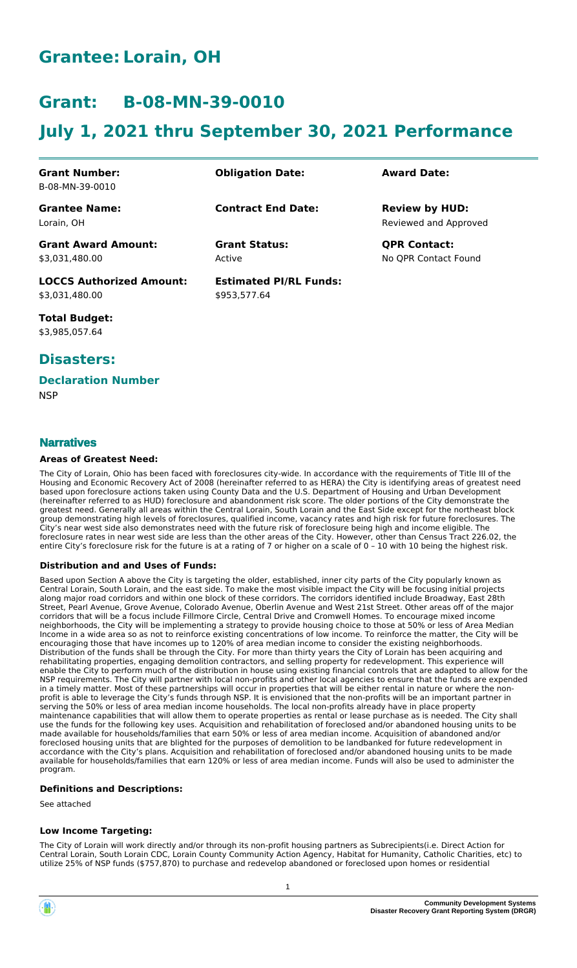# **Grantee: Lorain, OH**

# **Grant: B-08-MN-39-0010**

# **July 1, 2021 thru September 30, 2021 Performance**

| <b>Grant Number:</b>            | <b>Obligation Date:</b>       | <b>Award Date:</b>    |
|---------------------------------|-------------------------------|-----------------------|
| B-08-MN-39-0010                 |                               |                       |
| <b>Grantee Name:</b>            | <b>Contract End Date:</b>     | <b>Review by HUD:</b> |
| Lorain, OH                      |                               | Reviewed and Approved |
| <b>Grant Award Amount:</b>      | <b>Grant Status:</b>          | <b>QPR Contact:</b>   |
| \$3,031,480.00                  | Active                        | No OPR Contact Found  |
| <b>LOCCS Authorized Amount:</b> | <b>Estimated PI/RL Funds:</b> |                       |
| \$3,031,480.00                  | \$953.577.64                  |                       |

**Total Budget:** \$3,985,057.64

## **Disasters:**

#### **Declaration Number**

**NSP** 

#### **Narratives**

#### **Areas of Greatest Need:**

The City of Lorain, Ohio has been faced with foreclosures city-wide. In accordance with the requirements of Title III of the Housing and Economic Recovery Act of 2008 (hereinafter referred to as HERA) the City is identifying areas of greatest need based upon foreclosure actions taken using County Data and the U.S. Department of Housing and Urban Development (hereinafter referred to as HUD) foreclosure and abandonment risk score. The older portions of the City demonstrate the greatest need. Generally all areas within the Central Lorain, South Lorain and the East Side except for the northeast block group demonstrating high levels of foreclosures, qualified income, vacancy rates and high risk for future foreclosures. The City's near west side also demonstrates need with the future risk of foreclosure being high and income eligible. The foreclosure rates in near west side are less than the other areas of the City. However, other than Census Tract 226.02, the entire City's foreclosure risk for the future is at a rating of 7 or higher on a scale of 0 – 10 with 10 being the highest risk.

#### **Distribution and and Uses of Funds:**

Based upon Section A above the City is targeting the older, established, inner city parts of the City popularly known as Central Lorain, South Lorain, and the east side. To make the most visible impact the City will be focusing initial projects along major road corridors and within one block of these corridors. The corridors identified include Broadway, East 28th Street, Pearl Avenue, Grove Avenue, Colorado Avenue, Oberlin Avenue and West 21st Street. Other areas off of the major corridors that will be a focus include Fillmore Circle, Central Drive and Cromwell Homes. To encourage mixed income neighborhoods, the City will be implementing a strategy to provide housing choice to those at 50% or less of Area Median Income in a wide area so as not to reinforce existing concentrations of low income. To reinforce the matter, the City will be encouraging those that have incomes up to 120% of area median income to consider the existing neighborhoods. Distribution of the funds shall be through the City. For more than thirty years the City of Lorain has been acquiring and rehabilitating properties, engaging demolition contractors, and selling property for redevelopment. This experience will enable the City to perform much of the distribution in house using existing financial controls that are adapted to allow for the NSP requirements. The City will partner with local non-profits and other local agencies to ensure that the funds are expended in a timely matter. Most of these partnerships will occur in properties that will be either rental in nature or where the nonprofit is able to leverage the City's funds through NSP. It is envisioned that the non-profits will be an important partner in serving the 50% or less of area median income households. The local non-profits already have in place property maintenance capabilities that will allow them to operate properties as rental or lease purchase as is needed. The City shall use the funds for the following key uses. Acquisition and rehabilitation of foreclosed and/or abandoned housing units to be made available for households/families that earn 50% or less of area median income. Acquisition of abandoned and/or foreclosed housing units that are blighted for the purposes of demolition to be landbanked for future redevelopment in accordance with the City's plans. Acquisition and rehabilitation of foreclosed and/or abandoned housing units to be made available for households/families that earn 120% or less of area median income. Funds will also be used to administer the program.

#### **Definitions and Descriptions:**

See attached

#### **Low Income Targeting:**

The City of Lorain will work directly and/or through its non-profit housing partners as Subrecipients(i.e. Direct Action for Central Lorain, South Lorain CDC, Lorain County Community Action Agency, Habitat for Humanity, Catholic Charities, etc) to utilize 25% of NSP funds (\$757,870) to purchase and redevelop abandoned or foreclosed upon homes or residential

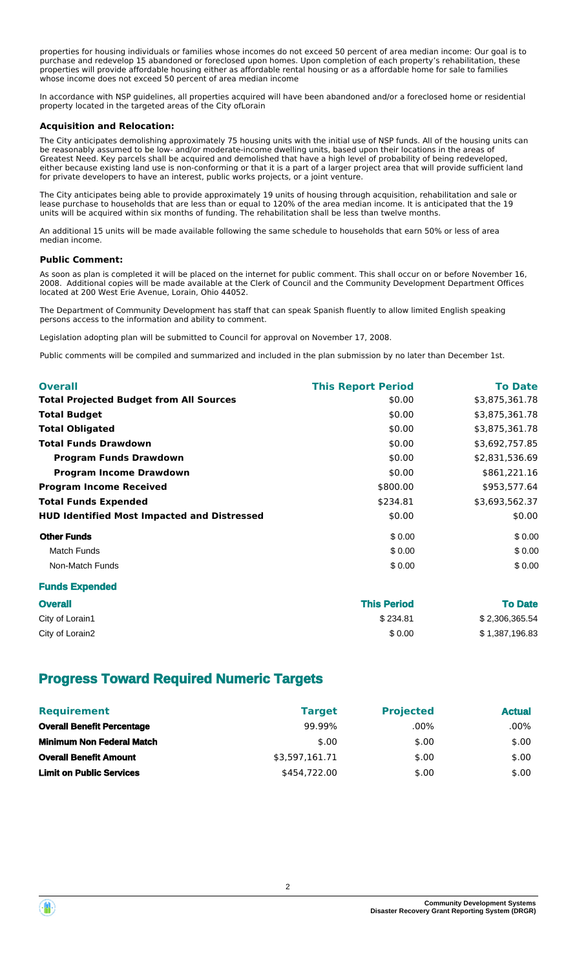properties for housing individuals or families whose incomes do not exceed 50 percent of area median income: Our goal is to purchase and redevelop 15 abandoned or foreclosed upon homes. Upon completion of each property's rehabilitation, these properties will provide affordable housing either as affordable rental housing or as a affordable home for sale to families whose income does not exceed 50 percent of area median income

In accordance with NSP guidelines, all properties acquired will have been abandoned and/or a foreclosed home or residential property located in the targeted areas of the City ofLorain

#### **Acquisition and Relocation:**

The City anticipates demolishing approximately 75 housing units with the initial use of NSP funds. All of the housing units can be reasonably assumed to be low- and/or moderate-income dwelling units, based upon their locations in the areas of Greatest Need. Key parcels shall be acquired and demolished that have a high level of probability of being redeveloped, either because existing land use is non-conforming or that it is a part of a larger project area that will provide sufficient land for private developers to have an interest, public works projects, or a joint venture.

The City anticipates being able to provide approximately 19 units of housing through acquisition, rehabilitation and sale or lease purchase to households that are less than or equal to 120% of the area median income. It is anticipated that the 19 units will be acquired within six months of funding. The rehabilitation shall be less than twelve months.

An additional 15 units will be made available following the same schedule to households that earn 50% or less of area median income.

#### **Public Comment:**

As soon as plan is completed it will be placed on the internet for public comment. This shall occur on or before November 16, 2008. Additional copies will be made available at the Clerk of Council and the Community Development Department Offices located at 200 West Erie Avenue, Lorain, Ohio 44052.

The Department of Community Development has staff that can speak Spanish fluently to allow limited English speaking persons access to the information and ability to comment.

Legislation adopting plan will be submitted to Council for approval on November 17, 2008.

Public comments will be compiled and summarized and included in the plan submission by no later than December 1st.

| <b>Overall</b>                                     | <b>This Report Period</b> | <b>To Date</b> |
|----------------------------------------------------|---------------------------|----------------|
| <b>Total Projected Budget from All Sources</b>     | \$0.00                    | \$3,875,361.78 |
| <b>Total Budget</b>                                | \$0.00                    | \$3,875,361.78 |
| <b>Total Obligated</b>                             | \$0.00                    | \$3,875,361.78 |
| <b>Total Funds Drawdown</b>                        | \$0.00                    | \$3,692,757.85 |
| <b>Program Funds Drawdown</b>                      | \$0.00                    | \$2,831,536.69 |
| <b>Program Income Drawdown</b>                     | \$0.00                    | \$861,221.16   |
| <b>Program Income Received</b>                     | \$800.00                  | \$953,577.64   |
| <b>Total Funds Expended</b>                        | \$234.81                  | \$3,693,562.37 |
| <b>HUD Identified Most Impacted and Distressed</b> | \$0.00                    | \$0.00         |
| <b>Other Funds</b>                                 | \$0.00                    | \$0.00         |
| <b>Match Funds</b>                                 | \$0.00                    | \$0.00         |
| Non-Match Funds                                    | \$0.00                    | \$0.00         |
| <b>Funds Expended</b>                              |                           |                |

| <b>Overall</b>  | <b>This Period</b> | <b>To Date</b> |
|-----------------|--------------------|----------------|
| City of Lorain1 | \$234.81           | \$2,306,365.54 |
| City of Lorain2 | \$0.00             | \$1,387,196.83 |

## **Progress Toward Required Numeric Targets**

| <b>Requirement</b>                | <b>Target</b>  | <b>Projected</b> | <b>Actual</b> |
|-----------------------------------|----------------|------------------|---------------|
| <b>Overall Benefit Percentage</b> | 99.99%         | $.00\%$          | .00%          |
| <b>Minimum Non Federal Match</b>  | \$.00          | \$.00            | \$.00         |
| <b>Overall Benefit Amount</b>     | \$3,597,161.71 | \$.00            | \$.00         |
| <b>Limit on Public Services</b>   | \$454,722,00   | \$.00            | \$.00         |

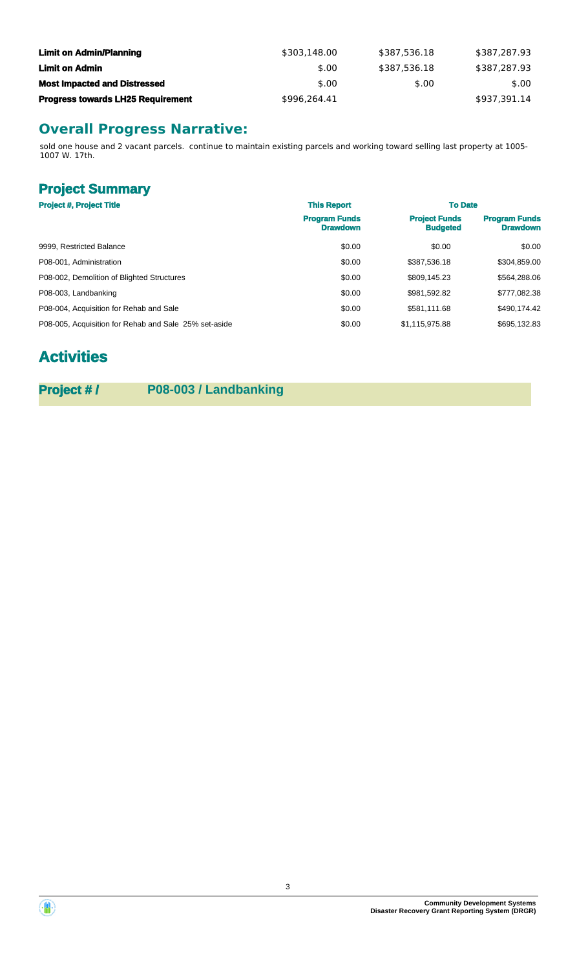| <b>Limit on Admin/Planning</b>           | \$303.148.00 | \$387.536.18 | \$387,287.93 |
|------------------------------------------|--------------|--------------|--------------|
| Limit on Admin                           | \$.00        | \$387.536.18 | \$387.287.93 |
| <b>Most Impacted and Distressed</b>      | \$.00        | \$.00        | \$.00        |
| <b>Progress towards LH25 Requirement</b> | \$996.264.41 |              | \$937.391.14 |

# **Overall Progress Narrative:**

sold one house and 2 vacant parcels. continue to maintain existing parcels and working toward selling last property at 1005- 1007 W. 17th.

# **Project Summary**

| <b>Project #, Project Title</b>                       | <b>This Report</b>                      | <b>To Date</b>                          |                                         |
|-------------------------------------------------------|-----------------------------------------|-----------------------------------------|-----------------------------------------|
|                                                       | <b>Program Funds</b><br><b>Drawdown</b> | <b>Project Funds</b><br><b>Budgeted</b> | <b>Program Funds</b><br><b>Drawdown</b> |
| 9999, Restricted Balance                              | \$0.00                                  | \$0.00                                  | \$0.00                                  |
| P08-001, Administration                               | \$0.00                                  | \$387.536.18                            | \$304,859.00                            |
| P08-002, Demolition of Blighted Structures            | \$0.00                                  | \$809.145.23                            | \$564,288.06                            |
| P08-003, Landbanking                                  | \$0.00                                  | \$981,592.82                            | \$777,082.38                            |
| P08-004, Acquisition for Rehab and Sale               | \$0.00                                  | \$581.111.68                            | \$490,174.42                            |
| P08-005, Acquisition for Rehab and Sale 25% set-aside | \$0.00                                  | \$1,115,975.88                          | \$695,132.83                            |

# **Activities**

**Project # / P08-003 / Landbanking**

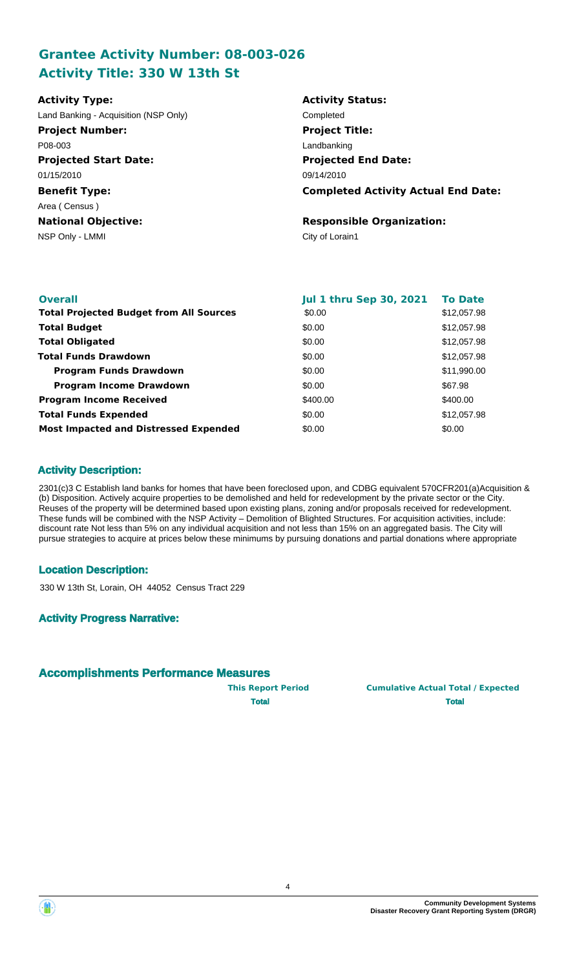## **Grantee Activity Number: 08-003-026 Activity Title: 330 W 13th St**

| <b>Activity Type:</b>                 | <b>Activity Status:</b>                    |
|---------------------------------------|--------------------------------------------|
| Land Banking - Acquisition (NSP Only) | Completed                                  |
| <b>Project Number:</b>                | <b>Project Title:</b>                      |
| P08-003                               | Landbanking                                |
| <b>Projected Start Date:</b>          | <b>Projected End Date:</b>                 |
| 01/15/2010                            | 09/14/2010                                 |
| <b>Benefit Type:</b>                  | <b>Completed Activity Actual End Date:</b> |
| Area (Census)                         |                                            |
| <b>National Objective:</b>            | <b>Responsible Organization:</b>           |
| NSP Only - LMMI                       | City of Lorain1                            |
|                                       |                                            |

| <b>Overall</b>                                 | <b>Jul 1 thru Sep 30, 2021</b> | <b>To Date</b> |
|------------------------------------------------|--------------------------------|----------------|
| <b>Total Projected Budget from All Sources</b> | \$0.00                         | \$12,057.98    |
| <b>Total Budget</b>                            | \$0.00                         | \$12,057.98    |
| <b>Total Obligated</b>                         | \$0.00                         | \$12,057.98    |
| <b>Total Funds Drawdown</b>                    | \$0.00                         | \$12,057.98    |
| <b>Program Funds Drawdown</b>                  | \$0.00                         | \$11,990.00    |
| <b>Program Income Drawdown</b>                 | \$0.00                         | \$67.98        |
| <b>Program Income Received</b>                 | \$400.00                       | \$400.00       |
| <b>Total Funds Expended</b>                    | \$0.00                         | \$12,057.98    |
| <b>Most Impacted and Distressed Expended</b>   | \$0.00                         | \$0.00         |

## **Activity Description:**

2301(c)3 C Establish land banks for homes that have been foreclosed upon, and CDBG equivalent 570CFR201(a)Acquisition & (b) Disposition. Actively acquire properties to be demolished and held for redevelopment by the private sector or the City. Reuses of the property will be determined based upon existing plans, zoning and/or proposals received for redevelopment. These funds will be combined with the NSP Activity – Demolition of Blighted Structures. For acquisition activities, include: discount rate Not less than 5% on any individual acquisition and not less than 15% on an aggregated basis. The City will pursue strategies to acquire at prices below these minimums by pursuing donations and partial donations where appropriate

#### **Location Description:**

330 W 13th St, Lorain, OH 44052 Census Tract 229

#### **Activity Progress Narrative:**

## **Accomplishments Performance Measures**

**This Report Period Cumulative Actual Total / Expected Total Total**



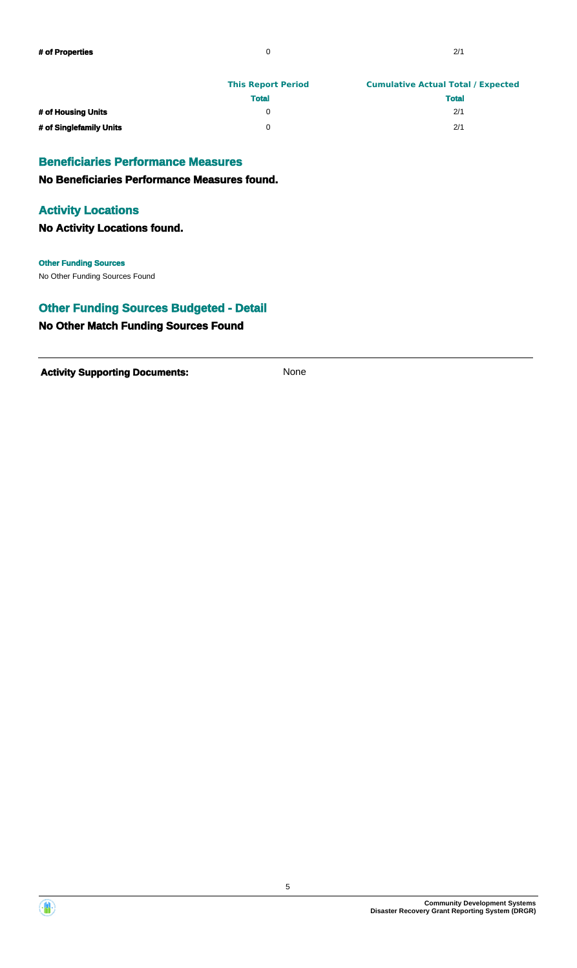|                         | <b>This Report Period</b> | <b>Cumulative Actual Total / Expected</b> |
|-------------------------|---------------------------|-------------------------------------------|
|                         | <b>Total</b>              | <b>Total</b>                              |
| # of Housing Units      |                           | 2/1                                       |
| # of Singlefamily Units |                           | 2/1                                       |

#### **Beneficiaries Performance Measures**

**No Beneficiaries Performance Measures found.**

#### **Activity Locations**

**No Activity Locations found.**

No Other Funding Sources Found **Other Funding Sources**

## **Other Funding Sources Budgeted - Detail**

## **No Other Match Funding Sources Found**

Activity **Supporting Documents:** None



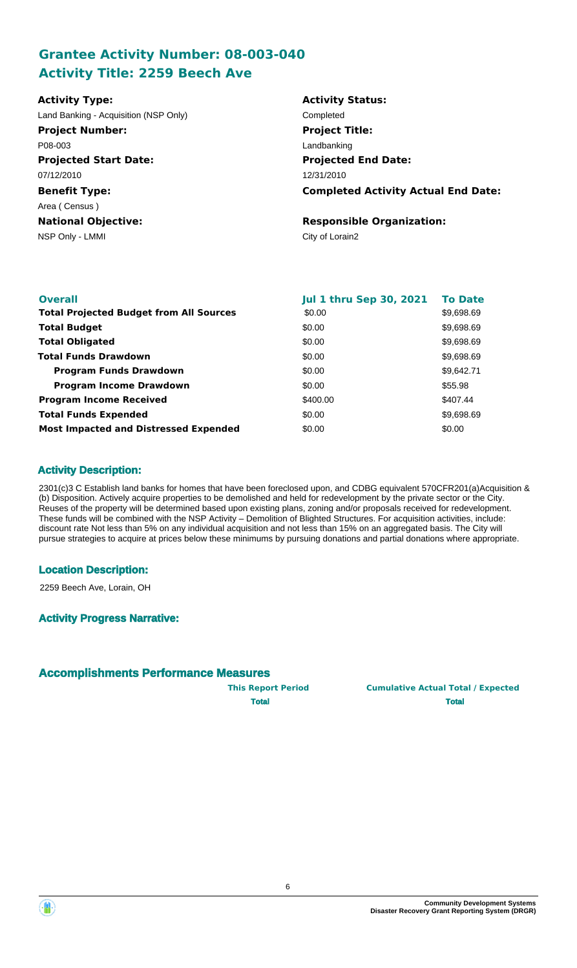## **Grantee Activity Number: 08-003-040 Activity Title: 2259 Beech Ave**

| <b>Activity Type:</b>                 | <b>Activity Status:</b>                    |
|---------------------------------------|--------------------------------------------|
| Land Banking - Acquisition (NSP Only) | Completed                                  |
| <b>Project Number:</b>                | <b>Project Title:</b>                      |
| P08-003                               | Landbanking                                |
| <b>Projected Start Date:</b>          | <b>Projected End Date:</b>                 |
| 07/12/2010                            | 12/31/2010                                 |
| <b>Benefit Type:</b>                  | <b>Completed Activity Actual End Date:</b> |
| Area (Census)                         |                                            |
| <b>National Objective:</b>            | <b>Responsible Organization:</b>           |
| NSP Only - LMMI                       | City of Lorain2                            |
|                                       |                                            |

| <b>Overall</b>                                 | <b>Jul 1 thru Sep 30, 2021</b> | <b>To Date</b> |
|------------------------------------------------|--------------------------------|----------------|
| <b>Total Projected Budget from All Sources</b> | \$0.00                         | \$9,698.69     |
| <b>Total Budget</b>                            | \$0.00                         | \$9,698.69     |
| <b>Total Obligated</b>                         | \$0.00                         | \$9,698.69     |
| <b>Total Funds Drawdown</b>                    | \$0.00                         | \$9,698.69     |
| <b>Program Funds Drawdown</b>                  | \$0.00                         | \$9,642.71     |
| <b>Program Income Drawdown</b>                 | \$0.00                         | \$55.98        |
| <b>Program Income Received</b>                 | \$400.00                       | \$407.44       |
| <b>Total Funds Expended</b>                    | \$0.00                         | \$9,698.69     |
| <b>Most Impacted and Distressed Expended</b>   | \$0.00                         | \$0.00         |

## **Activity Description:**

2301(c)3 C Establish land banks for homes that have been foreclosed upon, and CDBG equivalent 570CFR201(a)Acquisition & (b) Disposition. Actively acquire properties to be demolished and held for redevelopment by the private sector or the City. Reuses of the property will be determined based upon existing plans, zoning and/or proposals received for redevelopment. These funds will be combined with the NSP Activity – Demolition of Blighted Structures. For acquisition activities, include: discount rate Not less than 5% on any individual acquisition and not less than 15% on an aggregated basis. The City will pursue strategies to acquire at prices below these minimums by pursuing donations and partial donations where appropriate.

## **Location Description:**

2259 Beech Ave, Lorain, OH

## **Activity Progress Narrative:**

## **Accomplishments Performance Measures**

**This Report Period Cumulative Actual Total / Expected Total Total**



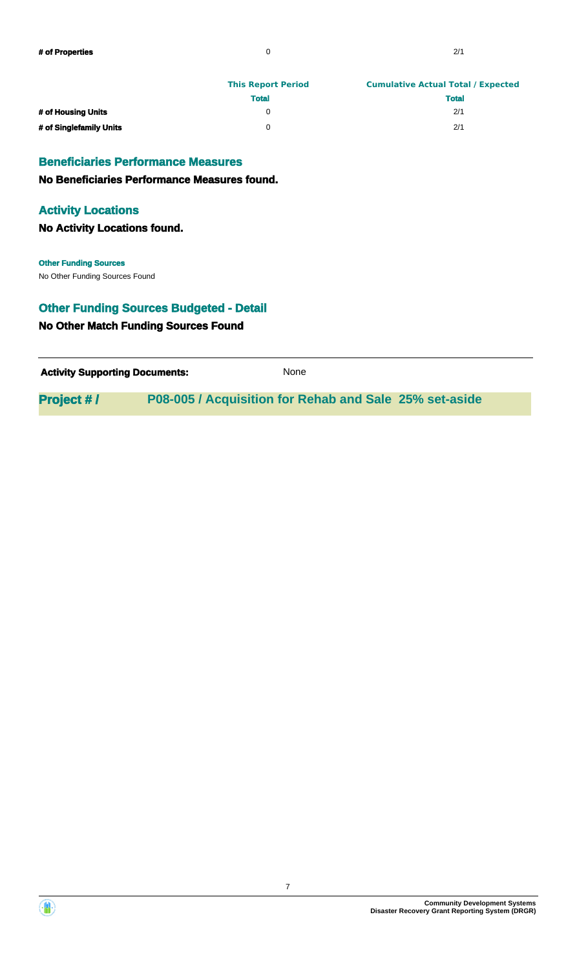|                         | <b>This Report Period</b> | <b>Cumulative Actual Total / Expected</b> |  |
|-------------------------|---------------------------|-------------------------------------------|--|
|                         | <b>Total</b>              | <b>Total</b>                              |  |
| # of Housing Units      |                           | 2/1                                       |  |
| # of Singlefamily Units |                           | 2/1                                       |  |

#### **Beneficiaries Performance Measures**

**No Beneficiaries Performance Measures found.**

#### **Activity Locations**

**No Activity Locations found.**

No Other Funding Sources Found **Other Funding Sources**

# **Other Funding Sources Budgeted - Detail**

## **No Other Match Funding Sources Found**

| <b>Activity Supporting Documents:</b> | None |
|---------------------------------------|------|
|                                       |      |

**Project # / P08-005 / Acquisition for Rehab and Sale 25% set-aside**



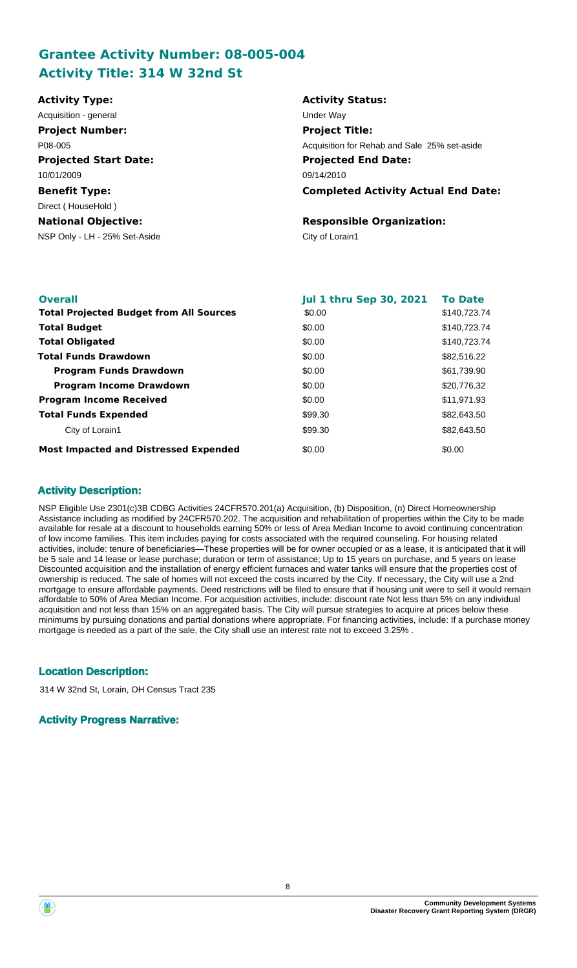## **Grantee Activity Number: 08-005-004 Activity Title: 314 W 32nd St**

| <b>Activity Status:</b>                      |
|----------------------------------------------|
| Under Way                                    |
| <b>Project Title:</b>                        |
| Acquisition for Rehab and Sale 25% set-aside |
| <b>Projected End Date:</b>                   |
| 09/14/2010                                   |
| <b>Completed Activity Actual End Date:</b>   |
|                                              |
| <b>Responsible Organization:</b>             |
| City of Lorain1                              |
|                                              |
|                                              |

| <b>Overall</b>                                 | <b>Jul 1 thru Sep 30, 2021</b> | <b>To Date</b> |
|------------------------------------------------|--------------------------------|----------------|
| <b>Total Projected Budget from All Sources</b> | \$0.00                         | \$140,723.74   |
| <b>Total Budget</b>                            | \$0.00                         | \$140,723,74   |
| <b>Total Obligated</b>                         | \$0.00                         | \$140,723.74   |
| <b>Total Funds Drawdown</b>                    | \$0.00                         | \$82,516.22    |
| <b>Program Funds Drawdown</b>                  | \$0.00                         | \$61,739.90    |
| <b>Program Income Drawdown</b>                 | \$0.00                         | \$20,776.32    |
| <b>Program Income Received</b>                 | \$0.00                         | \$11,971.93    |
| <b>Total Funds Expended</b>                    | \$99.30                        | \$82,643.50    |
| City of Lorain1                                | \$99.30                        | \$82,643.50    |
| <b>Most Impacted and Distressed Expended</b>   | \$0.00                         | \$0.00         |

## **Activity Description:**

NSP Eligible Use 2301(c)3B CDBG Activities 24CFR570.201(a) Acquisition, (b) Disposition, (n) Direct Homeownership Assistance including as modified by 24CFR570.202. The acquisition and rehabilitation of properties within the City to be made available for resale at a discount to households earning 50% or less of Area Median Income to avoid continuing concentration of low income families. This item includes paying for costs associated with the required counseling. For housing related activities, include: tenure of beneficiaries—These properties will be for owner occupied or as a lease, it is anticipated that it will be 5 sale and 14 lease or lease purchase; duration or term of assistance; Up to 15 years on purchase, and 5 years on lease Discounted acquisition and the installation of energy efficient furnaces and water tanks will ensure that the properties cost of ownership is reduced. The sale of homes will not exceed the costs incurred by the City. If necessary, the City will use a 2nd mortgage to ensure affordable payments. Deed restrictions will be filed to ensure that if housing unit were to sell it would remain affordable to 50% of Area Median Income. For acquisition activities, include: discount rate Not less than 5% on any individual acquisition and not less than 15% on an aggregated basis. The City will pursue strategies to acquire at prices below these minimums by pursuing donations and partial donations where appropriate. For financing activities, include: If a purchase money mortgage is needed as a part of the sale, the City shall use an interest rate not to exceed 3.25% .

## **Location Description:**

314 W 32nd St, Lorain, OH Census Tract 235

#### **Activity Progress Narrative:**

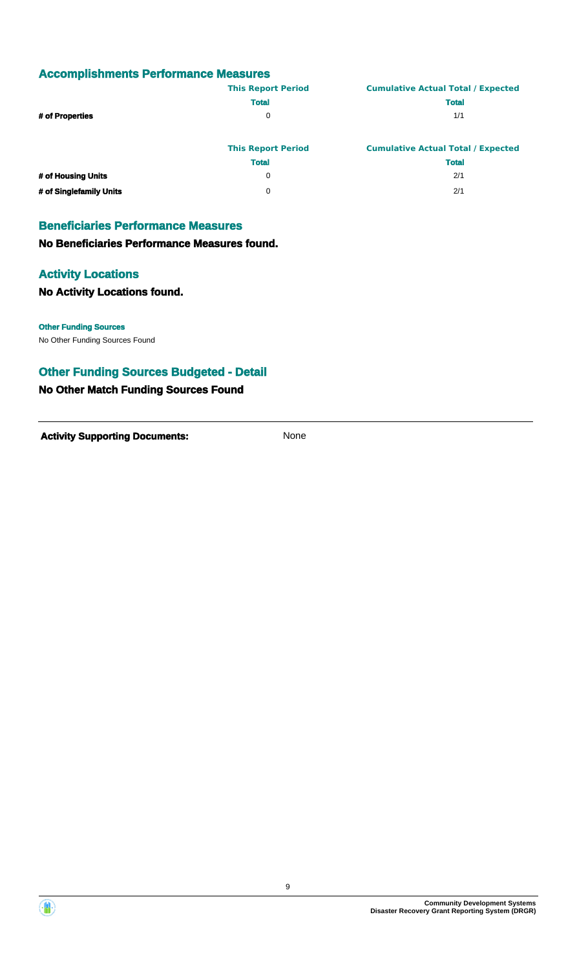## **Accomplishments Performance Measures**

|                         | <b>This Report Period</b> | <b>Cumulative Actual Total / Expected</b> |
|-------------------------|---------------------------|-------------------------------------------|
|                         | <b>Total</b>              | <b>Total</b>                              |
| # of Properties         | 0                         | 1/1                                       |
|                         |                           |                                           |
|                         | <b>This Report Period</b> | <b>Cumulative Actual Total / Expected</b> |
|                         | <b>Total</b>              | <b>Total</b>                              |
| # of Housing Units      | 0                         | 2/1                                       |
| # of Singlefamily Units | 0                         | 2/1                                       |

## **Beneficiaries Performance Measures**

**No Beneficiaries Performance Measures found.**

#### **Activity Locations**

#### **No Activity Locations found.**

**Other Funding Sources**

No Other Funding Sources Found

## **Other Funding Sources Budgeted - Detail**

#### **No Other Match Funding Sources Found**

**Activity Supporting Documents:** None

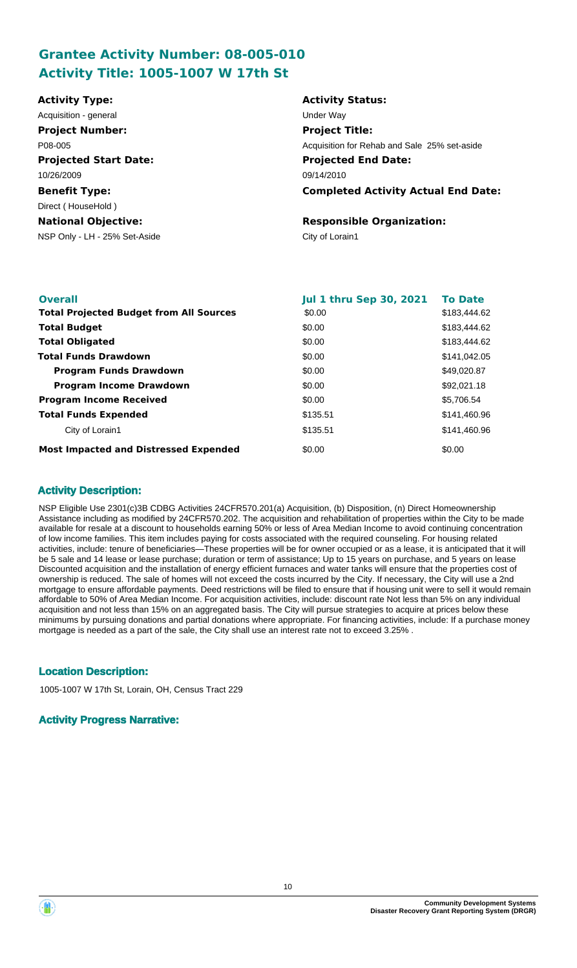## **Grantee Activity Number: 08-005-010 Activity Title: 1005-1007 W 17th St**

| <b>Activity Type:</b>         | <b>Activity Status:</b>                      |
|-------------------------------|----------------------------------------------|
| Acquisition - general         | Under Way                                    |
| <b>Project Number:</b>        | <b>Project Title:</b>                        |
| P08-005                       | Acquisition for Rehab and Sale 25% set-aside |
| <b>Projected Start Date:</b>  | <b>Projected End Date:</b>                   |
| 10/26/2009                    | 09/14/2010                                   |
| <b>Benefit Type:</b>          | <b>Completed Activity Actual End Date:</b>   |
| Direct (HouseHold)            |                                              |
| <b>National Objective:</b>    | <b>Responsible Organization:</b>             |
| NSP Only - LH - 25% Set-Aside | City of Lorain1                              |
|                               |                                              |
|                               |                                              |

| <b>Overall</b>                                 | <b>Jul 1 thru Sep 30, 2021</b> | <b>To Date</b> |
|------------------------------------------------|--------------------------------|----------------|
| <b>Total Projected Budget from All Sources</b> | \$0.00                         | \$183,444.62   |
| <b>Total Budget</b>                            | \$0.00                         | \$183,444.62   |
| <b>Total Obligated</b>                         | \$0.00                         | \$183,444.62   |
| <b>Total Funds Drawdown</b>                    | \$0.00                         | \$141,042.05   |
| <b>Program Funds Drawdown</b>                  | \$0.00                         | \$49,020.87    |
| <b>Program Income Drawdown</b>                 | \$0.00                         | \$92,021.18    |
| <b>Program Income Received</b>                 | \$0.00                         | \$5,706.54     |
| <b>Total Funds Expended</b>                    | \$135.51                       | \$141,460.96   |
| City of Lorain1                                | \$135.51                       | \$141,460.96   |
| <b>Most Impacted and Distressed Expended</b>   | \$0.00                         | \$0.00         |

#### **Activity Description:**

NSP Eligible Use 2301(c)3B CDBG Activities 24CFR570.201(a) Acquisition, (b) Disposition, (n) Direct Homeownership Assistance including as modified by 24CFR570.202. The acquisition and rehabilitation of properties within the City to be made available for resale at a discount to households earning 50% or less of Area Median Income to avoid continuing concentration of low income families. This item includes paying for costs associated with the required counseling. For housing related activities, include: tenure of beneficiaries—These properties will be for owner occupied or as a lease, it is anticipated that it will be 5 sale and 14 lease or lease purchase; duration or term of assistance; Up to 15 years on purchase, and 5 years on lease Discounted acquisition and the installation of energy efficient furnaces and water tanks will ensure that the properties cost of ownership is reduced. The sale of homes will not exceed the costs incurred by the City. If necessary, the City will use a 2nd mortgage to ensure affordable payments. Deed restrictions will be filed to ensure that if housing unit were to sell it would remain affordable to 50% of Area Median Income. For acquisition activities, include: discount rate Not less than 5% on any individual acquisition and not less than 15% on an aggregated basis. The City will pursue strategies to acquire at prices below these minimums by pursuing donations and partial donations where appropriate. For financing activities, include: If a purchase money mortgage is needed as a part of the sale, the City shall use an interest rate not to exceed 3.25% .

## **Location Description:**

1005-1007 W 17th St, Lorain, OH, Census Tract 229

#### **Activity Progress Narrative:**